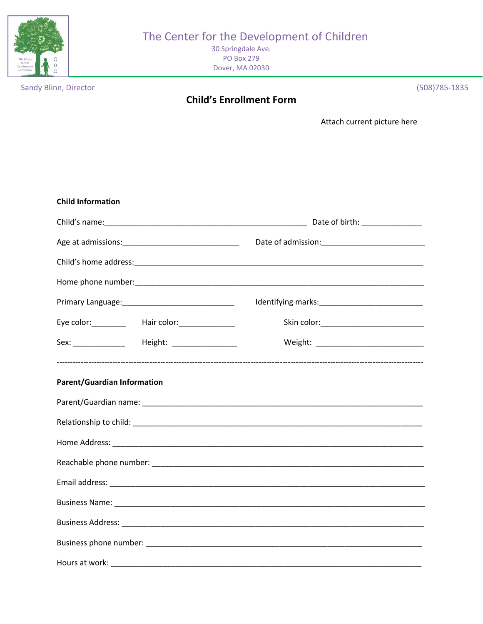

# The Center for the Development of Children

30 Springdale Ave. **PO Box 279** Dover, MA 02030

Sandy Blinn, Director

## **Child's Enrollment Form**

(508) 785-1835

Attach current picture here

| <b>Child Information</b>                            |  |
|-----------------------------------------------------|--|
|                                                     |  |
|                                                     |  |
|                                                     |  |
|                                                     |  |
|                                                     |  |
| Eye color: __________ Hair color: ______________    |  |
| Sex: ________________  Height: ____________________ |  |
| <b>Parent/Guardian Information</b>                  |  |
|                                                     |  |
|                                                     |  |
|                                                     |  |
|                                                     |  |
|                                                     |  |
|                                                     |  |
|                                                     |  |
|                                                     |  |
|                                                     |  |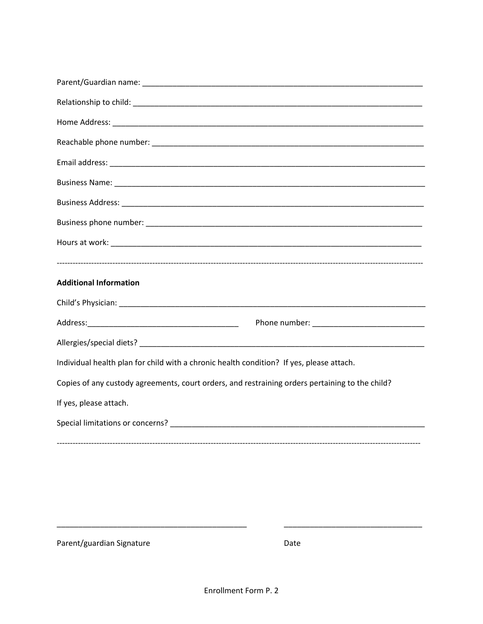| <b>Additional Information</b>                                                                   |
|-------------------------------------------------------------------------------------------------|
|                                                                                                 |
|                                                                                                 |
|                                                                                                 |
|                                                                                                 |
| Individual health plan for child with a chronic health condition? If yes, please attach.        |
| Copies of any custody agreements, court orders, and restraining orders pertaining to the child? |
| If yes, please attach.                                                                          |
|                                                                                                 |
|                                                                                                 |

Parent/guardian Signature

Date